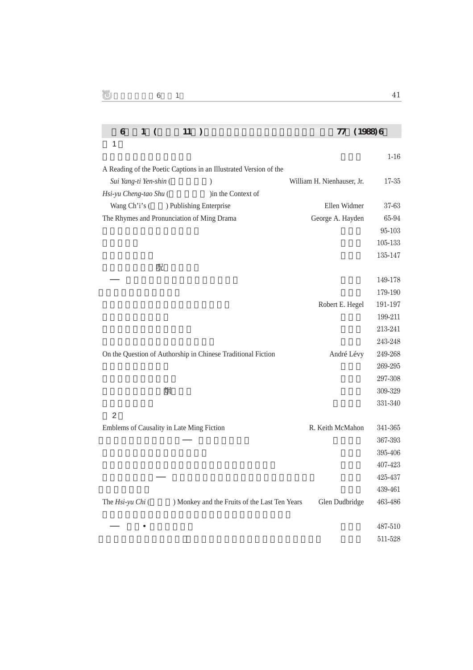| 6<br>$1\,$<br>11<br>$\left($                                      | 77<br>(1988) 6             |           |  |
|-------------------------------------------------------------------|----------------------------|-----------|--|
| 1                                                                 |                            |           |  |
|                                                                   |                            | $1-16$    |  |
| A Reading of the Poetic Captions in an Illustrated Version of the |                            |           |  |
| Sui Yang-ti Yen-shin (<br>$\mathcal{E}$                           | William H. Nienhauser, Jr. | $17 - 35$ |  |
| Hsi-yu Cheng-tao Shu (<br>)in the Context of                      |                            |           |  |
| Wang Ch'i's (<br>) Publishing Enterprise                          | Ellen Widmer               | 37-63     |  |
| The Rhymes and Pronunciation of Ming Drama                        | George A. Hayden           | 65-94     |  |
|                                                                   |                            | 95-103    |  |
|                                                                   |                            | 105-133   |  |
|                                                                   |                            | 135-147   |  |
| 呪                                                                 |                            |           |  |
|                                                                   |                            | 149-178   |  |
|                                                                   |                            | 179-190   |  |
|                                                                   | Robert E. Hegel            | 191-197   |  |
|                                                                   |                            | 199-211   |  |
|                                                                   |                            | 213-241   |  |
|                                                                   |                            | 243-248   |  |
| On the Question of Authorship in Chinese Traditional Fiction      | André Lévy                 | 249-268   |  |
|                                                                   |                            | 269-295   |  |
|                                                                   |                            | 297-308   |  |
| 烟                                                                 |                            | 309-329   |  |
|                                                                   |                            | 331-340   |  |
| $\overline{2}$                                                    |                            |           |  |
| Emblems of Causality in Late Ming Fiction                         | R. Keith McMahon           | 341-365   |  |
|                                                                   |                            | 367-393   |  |
|                                                                   |                            | 395-406   |  |
|                                                                   |                            | 407-423   |  |
|                                                                   |                            | 425-437   |  |
|                                                                   |                            | 439-461   |  |
| ) Monkey and the Fruits of the Last Ten Years<br>The Hsi-yu Chi ( | Glen Dudbridge             | 463-486   |  |
|                                                                   |                            | 487-510   |  |
|                                                                   |                            | 511-528   |  |